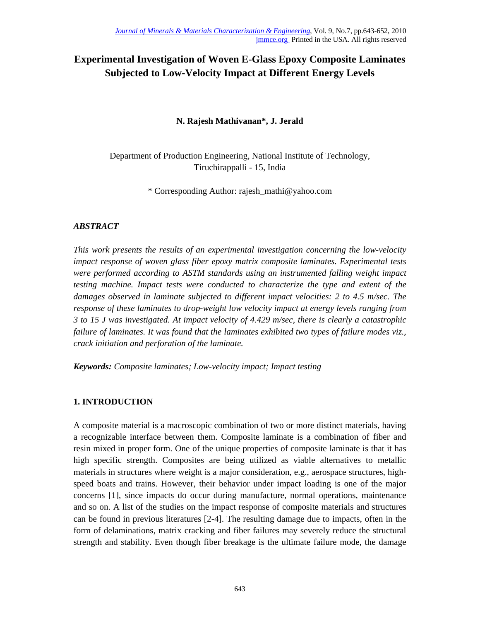# **Experimental Investigation of Woven E-Glass Epoxy Composite Laminates Subjected to Low-Velocity Impact at Different Energy Levels**

# **N. Rajesh Mathivanan\*, J. Jerald**

Department of Production Engineering, National Institute of Technology, Tiruchirappalli - 15, India

\* Corresponding Author: rajesh\_mathi@yahoo.com

## *ABSTRACT*

*This work presents the results of an experimental investigation concerning the low-velocity impact response of woven glass fiber epoxy matrix composite laminates. Experimental tests were performed according to ASTM standards using an instrumented falling weight impact testing machine. Impact tests were conducted to characterize the type and extent of the damages observed in laminate subjected to different impact velocities: 2 to 4.5 m/sec. The response of these laminates to drop-weight low velocity impact at energy levels ranging from 3 to 15 J was investigated. At impact velocity of 4.429 m/sec, there is clearly a catastrophic failure of laminates. It was found that the laminates exhibited two types of failure modes viz., crack initiation and perforation of the laminate.* 

*Keywords: Composite laminates; Low-velocity impact; Impact testing* 

## **1. INTRODUCTION**

A composite material is a macroscopic combination of two or more distinct materials, having a recognizable interface between them. Composite laminate is a combination of fiber and resin mixed in proper form. One of the unique properties of composite laminate is that it has high specific strength. Composites are being utilized as viable alternatives to metallic materials in structures where weight is a major consideration, e.g., aerospace structures, highspeed boats and trains. However, their behavior under impact loading is one of the major concerns [1], since impacts do occur during manufacture, normal operations, maintenance and so on. A list of the studies on the impact response of composite materials and structures can be found in previous literatures [2-4]. The resulting damage due to impacts, often in the form of delaminations, matrix cracking and fiber failures may severely reduce the structural strength and stability. Even though fiber breakage is the ultimate failure mode, the damage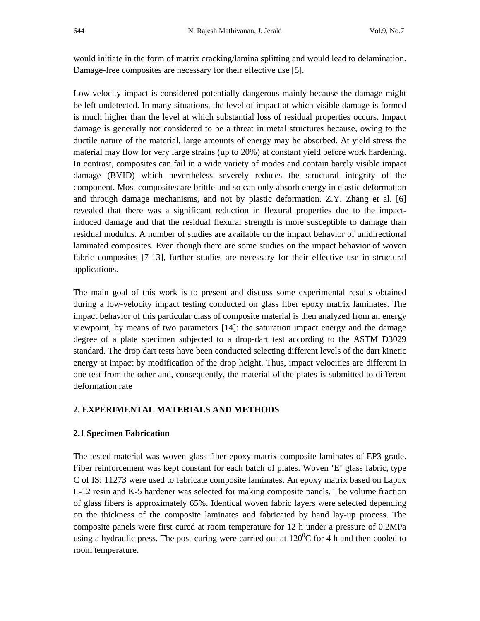would initiate in the form of matrix cracking/lamina splitting and would lead to delamination. Damage-free composites are necessary for their effective use [5].

Low-velocity impact is considered potentially dangerous mainly because the damage might be left undetected. In many situations, the level of impact at which visible damage is formed is much higher than the level at which substantial loss of residual properties occurs. Impact damage is generally not considered to be a threat in metal structures because, owing to the ductile nature of the material, large amounts of energy may be absorbed. At yield stress the material may flow for very large strains (up to 20%) at constant yield before work hardening. In contrast, composites can fail in a wide variety of modes and contain barely visible impact damage (BVID) which nevertheless severely reduces the structural integrity of the component. Most composites are brittle and so can only absorb energy in elastic deformation and through damage mechanisms, and not by plastic deformation. Z.Y. Zhang et al. [6] revealed that there was a significant reduction in flexural properties due to the impactinduced damage and that the residual flexural strength is more susceptible to damage than residual modulus. A number of studies are available on the impact behavior of unidirectional laminated composites. Even though there are some studies on the impact behavior of woven fabric composites [7-13], further studies are necessary for their effective use in structural applications.

The main goal of this work is to present and discuss some experimental results obtained during a low-velocity impact testing conducted on glass fiber epoxy matrix laminates. The impact behavior of this particular class of composite material is then analyzed from an energy viewpoint, by means of two parameters [14]: the saturation impact energy and the damage degree of a plate specimen subjected to a drop-dart test according to the ASTM D3029 standard. The drop dart tests have been conducted selecting different levels of the dart kinetic energy at impact by modification of the drop height. Thus, impact velocities are different in one test from the other and, consequently, the material of the plates is submitted to different deformation rate

### **2. EXPERIMENTAL MATERIALS AND METHODS**

### **2.1 Specimen Fabrication**

The tested material was woven glass fiber epoxy matrix composite laminates of EP3 grade. Fiber reinforcement was kept constant for each batch of plates. Woven 'E' glass fabric, type C of IS: 11273 were used to fabricate composite laminates. An epoxy matrix based on Lapox L-12 resin and K-5 hardener was selected for making composite panels. The volume fraction of glass fibers is approximately 65%. Identical woven fabric layers were selected depending on the thickness of the composite laminates and fabricated by hand lay-up process. The composite panels were first cured at room temperature for 12 h under a pressure of 0.2MPa using a hydraulic press. The post-curing were carried out at  $120^0C$  for 4 h and then cooled to room temperature.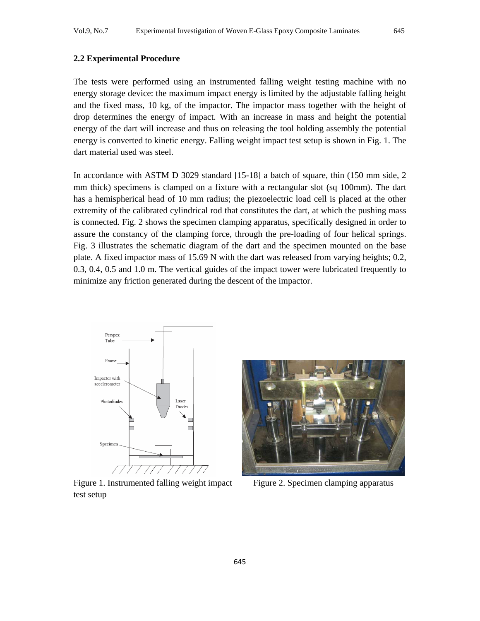#### **2.2 Experimental Procedure**

The tests were performed using an instrumented falling weight testing machine with no energy storage device: the maximum impact energy is limited by the adjustable falling height and the fixed mass, 10 kg, of the impactor. The impactor mass together with the height of drop determines the energy of impact. With an increase in mass and height the potential energy of the dart will increase and thus on releasing the tool holding assembly the potential energy is converted to kinetic energy. Falling weight impact test setup is shown in Fig. 1. The dart material used was steel.

In accordance with ASTM D 3029 standard [15-18] a batch of square, thin (150 mm side, 2 mm thick) specimens is clamped on a fixture with a rectangular slot (sq 100mm). The dart has a hemispherical head of 10 mm radius; the piezoelectric load cell is placed at the other extremity of the calibrated cylindrical rod that constitutes the dart, at which the pushing mass is connected. Fig. 2 shows the specimen clamping apparatus, specifically designed in order to assure the constancy of the clamping force, through the pre-loading of four helical springs. Fig. 3 illustrates the schematic diagram of the dart and the specimen mounted on the base plate. A fixed impactor mass of 15.69 N with the dart was released from varying heights; 0.2, 0.3, 0.4, 0.5 and 1.0 m. The vertical guides of the impact tower were lubricated frequently to minimize any friction generated during the descent of the impactor.



Figure 1. Instrumented falling weight impact test setup



Figure 2. Specimen clamping apparatus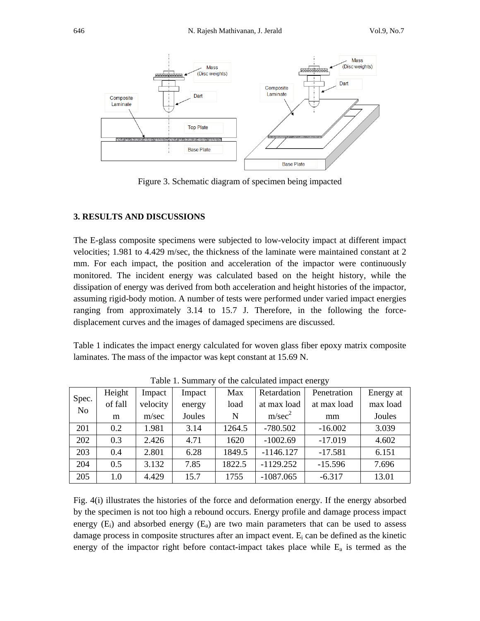

Figure 3. Schematic diagram of specimen being impacted

### **3. RESULTS AND DISCUSSIONS**

The E-glass composite specimens were subjected to low-velocity impact at different impact velocities; 1.981 to 4.429 m/sec, the thickness of the laminate were maintained constant at 2 mm. For each impact, the position and acceleration of the impactor were continuously monitored. The incident energy was calculated based on the height history, while the dissipation of energy was derived from both acceleration and height histories of the impactor, assuming rigid-body motion. A number of tests were performed under varied impact energies ranging from approximately 3.14 to 15.7 J. Therefore, in the following the forcedisplacement curves and the images of damaged specimens are discussed.

Table 1 indicates the impact energy calculated for woven glass fiber epoxy matrix composite laminates. The mass of the impactor was kept constant at 15.69 N.

| Spec.<br>No | Height  | Impact   | Impact | Max    | Retardation        | Penetration | Energy at |
|-------------|---------|----------|--------|--------|--------------------|-------------|-----------|
|             | of fall | velocity | energy | load   | at max load        | at max load | max load  |
|             | m       | m/sec    | Joules | N      | m/sec <sup>2</sup> | mm          | Joules    |
| 201         | 0.2     | 1.981    | 3.14   | 1264.5 | $-780.502$         | $-16.002$   | 3.039     |
| 202         | 0.3     | 2.426    | 4.71   | 1620   | $-1002.69$         | $-17.019$   | 4.602     |
| 203         | 0.4     | 2.801    | 6.28   | 1849.5 | $-1146.127$        | $-17.581$   | 6.151     |
| 204         | 0.5     | 3.132    | 7.85   | 1822.5 | $-1129.252$        | $-15.596$   | 7.696     |
| 205         | 1.0     | 4.429    | 15.7   | 1755   | $-1087.065$        | $-6.317$    | 13.01     |

Table 1. Summary of the calculated impact energy

Fig. 4(i) illustrates the histories of the force and deformation energy. If the energy absorbed by the specimen is not too high a rebound occurs. Energy profile and damage process impact energy  $(E_i)$  and absorbed energy  $(E_a)$  are two main parameters that can be used to assess damage process in composite structures after an impact event. E<sub>i</sub> can be defined as the kinetic energy of the impactor right before contact-impact takes place while  $E_a$  is termed as the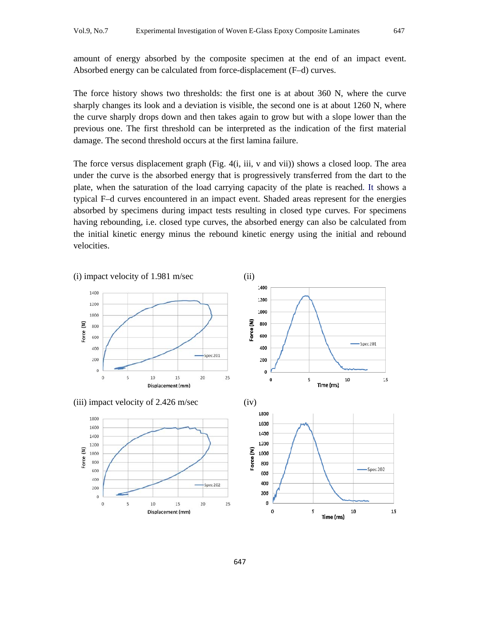amount of energy absorbed by the composite specimen at the end of an impact event. Absorbed energy can be calculated from force-displacement (F–d) curves.

The force history shows two thresholds: the first one is at about 360 N, where the curve sharply changes its look and a deviation is visible, the second one is at about 1260 N, where the curve sharply drops down and then takes again to grow but with a slope lower than the previous one. The first threshold can be interpreted as the indication of the first material damage. The second threshold occurs at the first lamina failure.

The force versus displacement graph (Fig. 4(i, iii, v and vii)) shows a closed loop. The area under the curve is the absorbed energy that is progressively transferred from the dart to the plate, when the saturation of the load carrying capacity of the plate is reached. It shows a typical F–d curves encountered in an impact event. Shaded areas represent for the energies absorbed by specimens during impact tests resulting in closed type curves. For specimens having rebounding, i.e. closed type curves, the absorbed energy can also be calculated from the initial kinetic energy minus the rebound kinetic energy using the initial and rebound velocities.

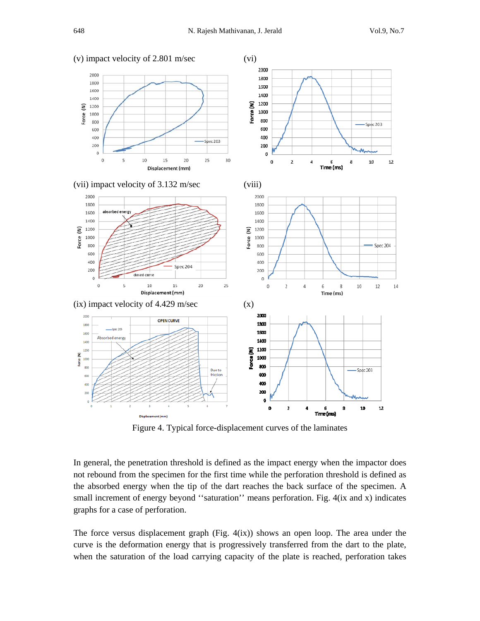

Figure 4. Typical force-displacement curves of the laminates

In general, the penetration threshold is defined as the impact energy when the impactor does not rebound from the specimen for the first time while the perforation threshold is defined as the absorbed energy when the tip of the dart reaches the back surface of the specimen. A small increment of energy beyond "saturation" means perforation. Fig. 4(ix and x) indicates graphs for a case of perforation.

The force versus displacement graph  $(Fig. 4(ix))$  shows an open loop. The area under the curve is the deformation energy that is progressively transferred from the dart to the plate, when the saturation of the load carrying capacity of the plate is reached, perforation takes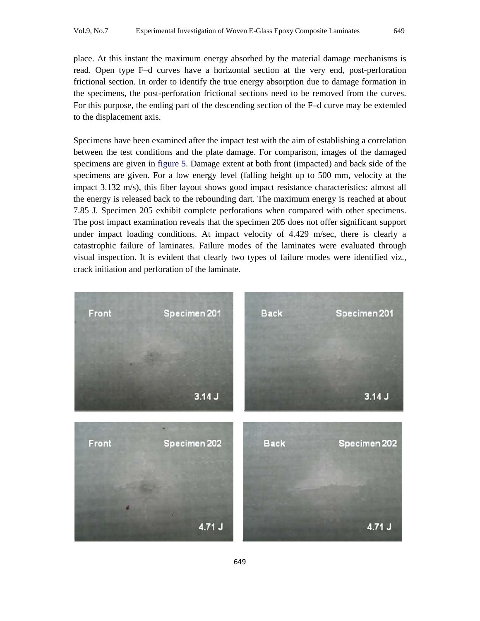place. At this instant the maximum energy absorbed by the material damage mechanisms is read. Open type F–d curves have a horizontal section at the very end, post-perforation frictional section. In order to identify the true energy absorption due to damage formation in the specimens, the post-perforation frictional sections need to be removed from the curves. For this purpose, the ending part of the descending section of the F–d curve may be extended to the displacement axis.

Specimens have been examined after the impact test with the aim of establishing a correlation between the test conditions and the plate damage. For comparison, images of the damaged specimens are given in figure 5. Damage extent at both front (impacted) and back side of the specimens are given. For a low energy level (falling height up to 500 mm, velocity at the impact 3.132 m/s), this fiber layout shows good impact resistance characteristics: almost all the energy is released back to the rebounding dart. The maximum energy is reached at about 7.85 J. Specimen 205 exhibit complete perforations when compared with other specimens. The post impact examination reveals that the specimen 205 does not offer significant support under impact loading conditions. At impact velocity of 4.429 m/sec, there is clearly a catastrophic failure of laminates. Failure modes of the laminates were evaluated through visual inspection. It is evident that clearly two types of failure modes were identified viz., crack initiation and perforation of the laminate.

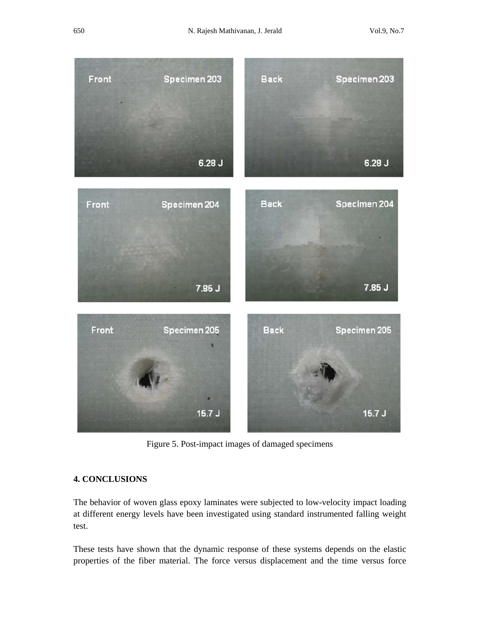



Figure 5. Post-impact images of damaged specimens

# **4. CONCLUSIONS**

The behavior of woven glass epoxy laminates were subjected to low-velocity impact loading at different energy levels have been investigated using standard instrumented falling weight test.

These tests have shown that the dynamic response of these systems depends on the elastic properties of the fiber material. The force versus displacement and the time versus force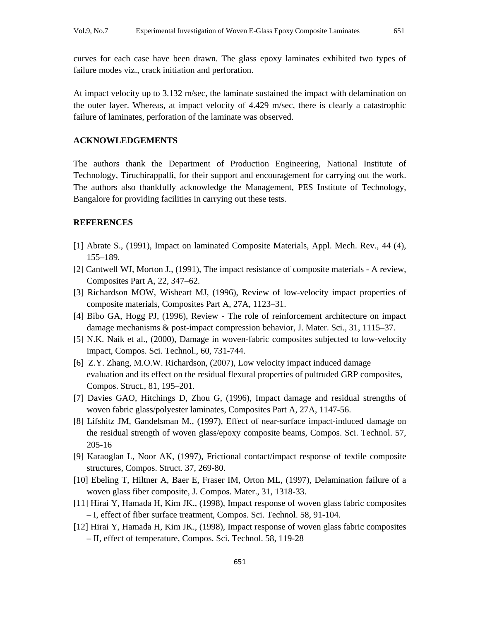At impact velocity up to 3.132 m/sec, the laminate sustained the impact with delamination on the outer layer. Whereas, at impact velocity of 4.429 m/sec, there is clearly a catastrophic failure of laminates, perforation of the laminate was observed.

#### **ACKNOWLEDGEMENTS**

The authors thank the Department of Production Engineering, National Institute of Technology, Tiruchirappalli, for their support and encouragement for carrying out the work. The authors also thankfully acknowledge the Management, PES Institute of Technology, Bangalore for providing facilities in carrying out these tests.

#### **REFERENCES**

- [1] Abrate S., (1991), Impact on laminated Composite Materials, Appl. Mech. Rev., 44 (4), 155–189.
- [2] Cantwell WJ, Morton J., (1991), The impact resistance of composite materials A review, Composites Part A, 22, 347–62.
- [3] Richardson MOW, Wisheart MJ, (1996), Review of low-velocity impact properties of composite materials, Composites Part A, 27A, 1123–31.
- [4] Bibo GA, Hogg PJ, (1996), Review The role of reinforcement architecture on impact damage mechanisms & post-impact compression behavior, J. Mater. Sci., 31, 1115–37.
- [5] N.K. Naik et al., (2000), Damage in woven-fabric composites subjected to low-velocity impact, Compos. Sci. Technol., 60, 731-744.
- [6] Z.Y. Zhang, M.O.W. Richardson, (2007), Low velocity impact induced damage evaluation and its effect on the residual flexural properties of pultruded GRP composites, Compos. Struct., 81, 195–201.
- [7] Davies GAO, Hitchings D, Zhou G, (1996), Impact damage and residual strengths of woven fabric glass/polyester laminates, Composites Part A, 27A, 1147-56.
- [8] Lifshitz JM, Gandelsman M., (1997), Effect of near-surface impact-induced damage on the residual strength of woven glass/epoxy composite beams, Compos. Sci. Technol. 57, 205-16
- [9] Karaoglan L, Noor AK, (1997), Frictional contact/impact response of textile composite structures, Compos. Struct. 37, 269-80.
- [10] Ebeling T, Hiltner A, Baer E, Fraser IM, Orton ML, (1997), Delamination failure of a woven glass fiber composite, J. Compos. Mater., 31, 1318-33.
- [11] Hirai Y, Hamada H, Kim JK., (1998), Impact response of woven glass fabric composites – I, effect of fiber surface treatment, Compos. Sci. Technol. 58, 91-104.
- [12] Hirai Y, Hamada H, Kim JK., (1998), Impact response of woven glass fabric composites – II, effect of temperature, Compos. Sci. Technol. 58, 119-28